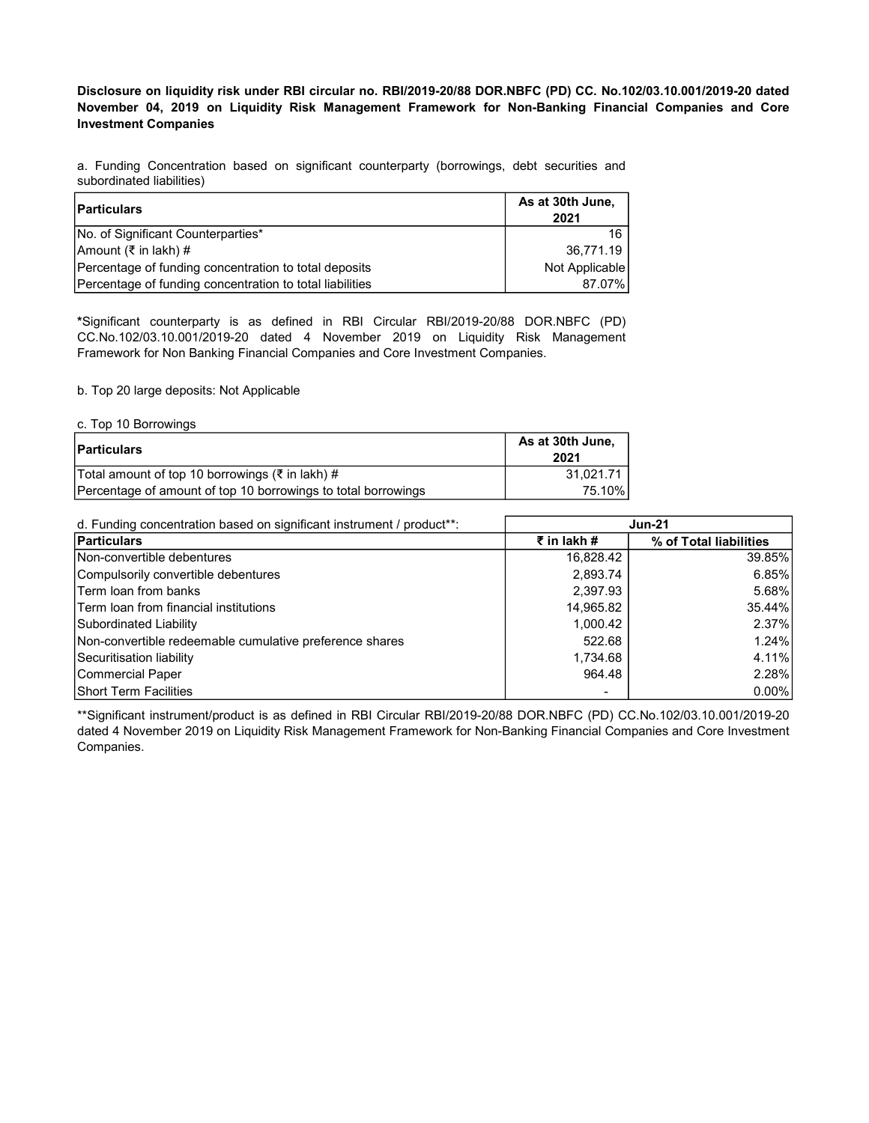Disclosure on liquidity risk under RBI circular no. RBI/2019-20/88 DOR.NBFC (PD) CC. No.102/03.10.001/2019-20 dated November 04, 2019 on Liquidity Risk Management Framework for Non-Banking Financial Companies and Core Investment Companies

a. Funding Concentration based on significant counterparty (borrowings, debt securities and subordinated liabilities)

| Particulars                                              | As at 30th June,<br>2021 |
|----------------------------------------------------------|--------------------------|
| No. of Significant Counterparties*                       | 16                       |
| Amount (₹ in lakh) #                                     | 36.771.19                |
| Percentage of funding concentration to total deposits    | Not Applicable           |
| Percentage of funding concentration to total liabilities | 87.07%                   |

\*Significant counterparty is as defined in RBI Circular RBI/2019-20/88 DOR.NBFC (PD) CC.No.102/03.10.001/2019-20 dated 4 November 2019 on Liquidity Risk Management Framework for Non Banking Financial Companies and Core Investment Companies.

b. Top 20 large deposits: Not Applicable

c. Top 10 Borrowings

| <b>Particulars</b>                                            | As at 30th June,<br>2021 |
|---------------------------------------------------------------|--------------------------|
| Total amount of top 10 borrowings (₹ in lakh) #               | 31.021.71                |
| Percentage of amount of top 10 borrowings to total borrowings | 75.10%                   |

| d. Funding concentration based on significant instrument / product <sup>**</sup> : | <b>Jun-21</b> |                        |
|------------------------------------------------------------------------------------|---------------|------------------------|
| Particulars                                                                        | ₹ in lakh #   | % of Total liabilities |
| Non-convertible debentures                                                         | 16,828.42     | 39.85%                 |
| Compulsorily convertible debentures                                                | 2,893.74      | 6.85%                  |
| <b>Term loan from banks</b>                                                        | 2,397.93      | 5.68%                  |
| <b>Term loan from financial institutions</b>                                       | 14,965.82     | 35.44%                 |
| Subordinated Liability                                                             | 1,000.42      | 2.37%                  |
| Non-convertible redeemable cumulative preference shares                            | 522.68        | 1.24%                  |
| Securitisation liability                                                           | 1,734.68      | 4.11%                  |
| Commercial Paper                                                                   | 964.48        | 2.28%                  |
| <b>Short Term Facilities</b>                                                       |               | $0.00\%$               |

\*\*Significant instrument/product is as defined in RBI Circular RBI/2019-20/88 DOR.NBFC (PD) CC.No.102/03.10.001/2019-20 dated 4 November 2019 on Liquidity Risk Management Framework for Non-Banking Financial Companies and Core Investment Companies.